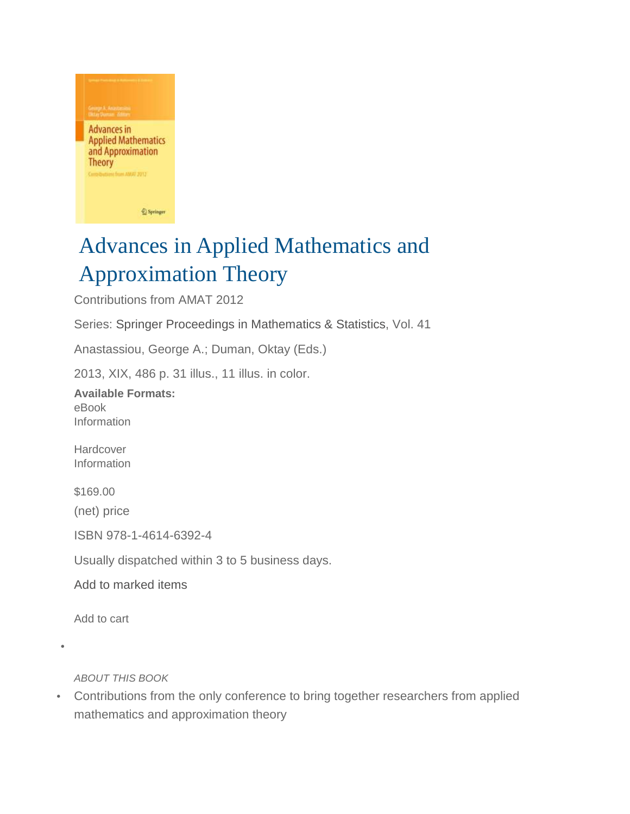

## Advances in Applied Mathematics and Approximation Theory

Contributions from AMAT 2012

Series: Springer Proceedings in Mathematics & Statistics, Vol. 41

Anastassiou, George A.; Duman, Oktay (Eds.)

2013, XIX, 486 p. 31 illus., 11 illus. in color.

**Available Formats:** eBook Information

Hardcover Information

\$169.00

(net) price

ISBN 978-1-4614-6392-4

Usually dispatched within 3 to 5 business days.

Add to marked items

Add to cart

•

ABOUT THIS BOOK

• Contributions from the only conference to bring together researchers from applied mathematics and approximation theory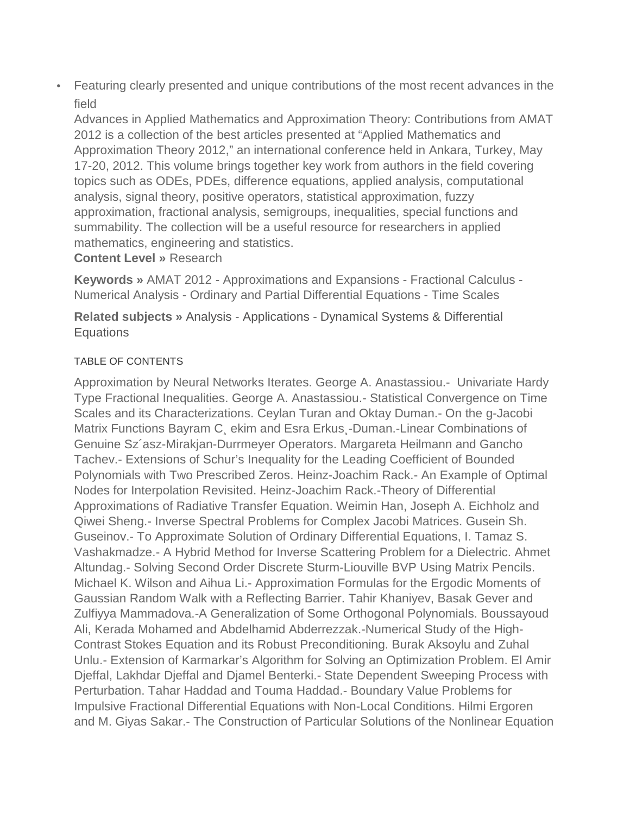• Featuring clearly presented and unique contributions of the most recent advances in the field

Advances in Applied Mathematics and Approximation Theory: Contributions from AMAT 2012 is a collection of the best articles presented at "Applied Mathematics and Approximation Theory 2012," an international conference held in Ankara, Turkey, May 17-20, 2012. This volume brings together key work from authors in the field covering topics such as ODEs, PDEs, difference equations, applied analysis, computational analysis, signal theory, positive operators, statistical approximation, fuzzy approximation, fractional analysis, semigroups, inequalities, special functions and summability. The collection will be a useful resource for researchers in applied mathematics, engineering and statistics.

**Content Level »** Research

**Keywords »** AMAT 2012 - Approximations and Expansions - Fractional Calculus - Numerical Analysis - Ordinary and Partial Differential Equations - Time Scales

**Related subjects »** Analysis - Applications - Dynamical Systems & Differential **Equations** 

## TABLE OF CONTENTS

Approximation by Neural Networks Iterates. George A. Anastassiou.- Univariate Hardy Type Fractional Inequalities. George A. Anastassiou.- Statistical Convergence on Time Scales and its Characterizations. Ceylan Turan and Oktay Duman.- On the g-Jacobi Matrix Functions Bayram C¸ ekim and Esra Erkus¸-Duman.-Linear Combinations of Genuine Sz´asz-Mirakjan-Durrmeyer Operators. Margareta Heilmann and Gancho Tachev.- Extensions of Schur's Inequality for the Leading Coefficient of Bounded Polynomials with Two Prescribed Zeros. Heinz-Joachim Rack.- An Example of Optimal Nodes for Interpolation Revisited. Heinz-Joachim Rack.-Theory of Differential Approximations of Radiative Transfer Equation. Weimin Han, Joseph A. Eichholz and Qiwei Sheng.- Inverse Spectral Problems for Complex Jacobi Matrices. Gusein Sh. Guseinov.- To Approximate Solution of Ordinary Differential Equations, I. Tamaz S. Vashakmadze.- A Hybrid Method for Inverse Scattering Problem for a Dielectric. Ahmet Altundag.- Solving Second Order Discrete Sturm-Liouville BVP Using Matrix Pencils. Michael K. Wilson and Aihua Li.- Approximation Formulas for the Ergodic Moments of Gaussian Random Walk with a Reflecting Barrier. Tahir Khaniyev, Basak Gever and Zulfiyya Mammadova.-A Generalization of Some Orthogonal Polynomials. Boussayoud Ali, Kerada Mohamed and Abdelhamid Abderrezzak.-Numerical Study of the High-Contrast Stokes Equation and its Robust Preconditioning. Burak Aksoylu and Zuhal Unlu.- Extension of Karmarkar's Algorithm for Solving an Optimization Problem. El Amir Djeffal, Lakhdar Djeffal and Djamel Benterki.- State Dependent Sweeping Process with Perturbation. Tahar Haddad and Touma Haddad.- Boundary Value Problems for Impulsive Fractional Differential Equations with Non-Local Conditions. Hilmi Ergoren and M. Giyas Sakar.- The Construction of Particular Solutions of the Nonlinear Equation